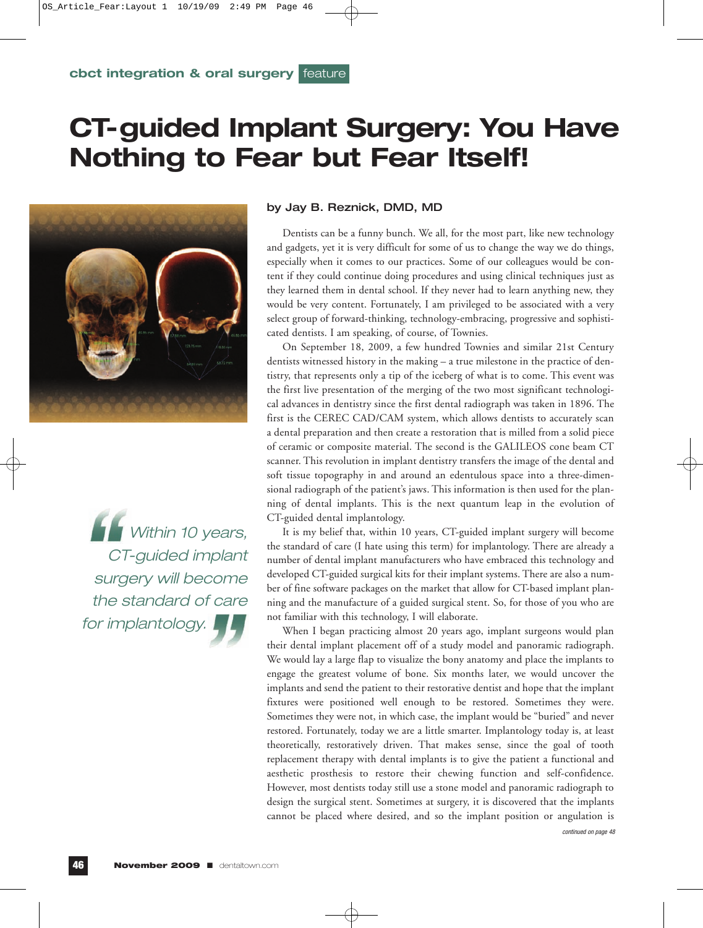## **CT-guided Implant Surgery: You Have Nothing to Fear but Fear Itself!**



**Within 10 years,** CT-guided implant surgery will become the standard of care for implantology.

#### by Jay B. Reznick, DMD, MD

Dentists can be a funny bunch. We all, for the most part, like new technology and gadgets, yet it is very difficult for some of us to change the way we do things, especially when it comes to our practices. Some of our colleagues would be content if they could continue doing procedures and using clinical techniques just as they learned them in dental school. If they never had to learn anything new, they would be very content. Fortunately, I am privileged to be associated with a very select group of forward-thinking, technology-embracing, progressive and sophisticated dentists. I am speaking, of course, of Townies.

On September 18, 2009, a few hundred Townies and similar 21st Century dentists witnessed history in the making – a true milestone in the practice of dentistry, that represents only a tip of the iceberg of what is to come. This event was the first live presentation of the merging of the two most significant technological advances in dentistry since the first dental radiograph was taken in 1896. The first is the CEREC CAD/CAM system, which allows dentists to accurately scan a dental preparation and then create a restoration that is milled from a solid piece of ceramic or composite material. The second is the GALILEOS cone beam CT scanner. This revolution in implant dentistry transfers the image of the dental and soft tissue topography in and around an edentulous space into a three-dimensional radiograph of the patient's jaws. This information is then used for the planning of dental implants. This is the next quantum leap in the evolution of CT-guided dental implantology.

It is my belief that, within 10 years, CT-guided implant surgery will become the standard of care (I hate using this term) for implantology. There are already a number of dental implant manufacturers who have embraced this technology and developed CT-guided surgical kits for their implant systems. There are also a number of fine software packages on the market that allow for CT-based implant planning and the manufacture of a guided surgical stent. So, for those of you who are not familiar with this technology, I will elaborate.

When I began practicing almost 20 years ago, implant surgeons would plan their dental implant placement off of a study model and panoramic radiograph. We would lay a large flap to visualize the bony anatomy and place the implants to engage the greatest volume of bone. Six months later, we would uncover the implants and send the patient to their restorative dentist and hope that the implant fixtures were positioned well enough to be restored. Sometimes they were. Sometimes they were not, in which case, the implant would be "buried" and never restored. Fortunately, today we are a little smarter. Implantology today is, at least theoretically, restoratively driven. That makes sense, since the goal of tooth replacement therapy with dental implants is to give the patient a functional and aesthetic prosthesis to restore their chewing function and self-confidence. However, most dentists today still use a stone model and panoramic radiograph to design the surgical stent. Sometimes at surgery, it is discovered that the implants cannot be placed where desired, and so the implant position or angulation is continued on page 48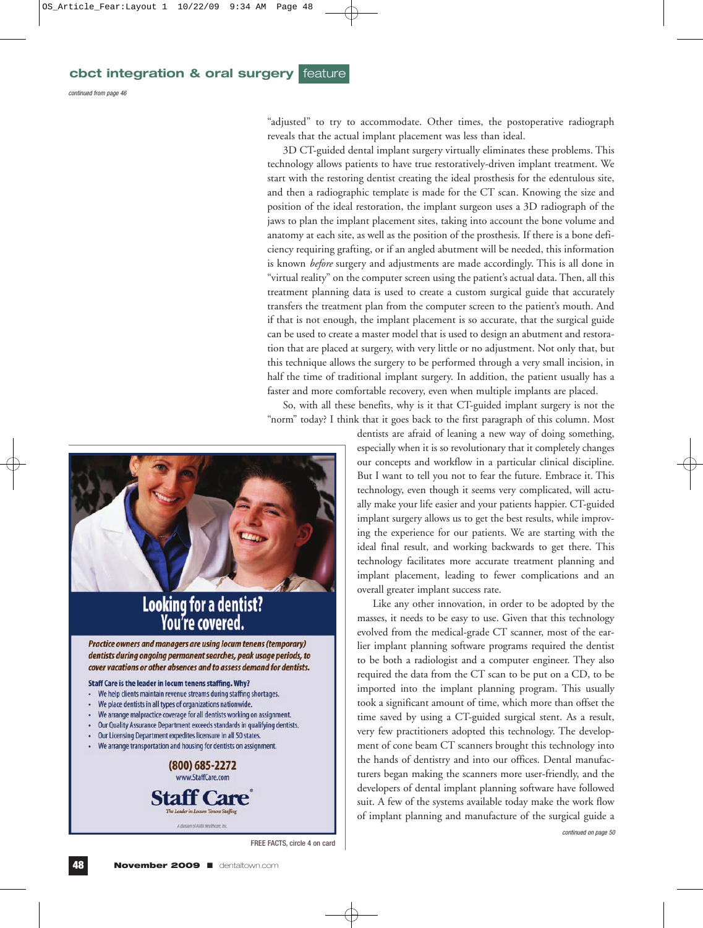continued from page 46

"adjusted" to try to accommodate. Other times, the postoperative radiograph reveals that the actual implant placement was less than ideal.

3D CT-guided dental implant surgery virtually eliminates these problems. This technology allows patients to have true restoratively-driven implant treatment. We start with the restoring dentist creating the ideal prosthesis for the edentulous site, and then a radiographic template is made for the CT scan. Knowing the size and position of the ideal restoration, the implant surgeon uses a 3D radiograph of the jaws to plan the implant placement sites, taking into account the bone volume and anatomy at each site, as well as the position of the prosthesis. If there is a bone deficiency requiring grafting, or if an angled abutment will be needed, this information is known *before* surgery and adjustments are made accordingly. This is all done in "virtual reality" on the computer screen using the patient's actual data. Then, all this treatment planning data is used to create a custom surgical guide that accurately transfers the treatment plan from the computer screen to the patient's mouth. And if that is not enough, the implant placement is so accurate, that the surgical guide can be used to create a master model that is used to design an abutment and restoration that are placed at surgery, with very little or no adjustment. Not only that, but this technique allows the surgery to be performed through a very small incision, in half the time of traditional implant surgery. In addition, the patient usually has a faster and more comfortable recovery, even when multiple implants are placed.

So, with all these benefits, why is it that CT-guided implant surgery is not the "norm" today? I think that it goes back to the first paragraph of this column. Most



## **Looking for a dentist?** You're covered.

Practice owners and managers are using locum tenens (temporary) dentists during ongoing permanent searches, peak usage periods, to cover vacations or other absences and to assess demand for dentists.

#### Staff Care is the leader in locum tenens staffing. Why?

- We help clients maintain revenue streams during staffing shortages.
- We place dentists in all types of organizations nationwide.
- We arrange malpractice coverage for all dentists working on assignment.
- Our Quality Assurance Department exceeds standards in qualifying dentists.
- Our Licensing Department expedites licensure in all 50 states.
- We arrange transportation and housing for dentists on assignment.



FREE FACTS, circle 4 on card

dentists are afraid of leaning a new way of doing something, especially when it is so revolutionary that it completely changes our concepts and workflow in a particular clinical discipline. But I want to tell you not to fear the future. Embrace it. This technology, even though it seems very complicated, will actually make your life easier and your patients happier. CT-guided implant surgery allows us to get the best results, while improving the experience for our patients. We are starting with the ideal final result, and working backwards to get there. This technology facilitates more accurate treatment planning and implant placement, leading to fewer complications and an overall greater implant success rate.

Like any other innovation, in order to be adopted by the masses, it needs to be easy to use. Given that this technology evolved from the medical-grade CT scanner, most of the earlier implant planning software programs required the dentist to be both a radiologist and a computer engineer. They also required the data from the CT scan to be put on a CD, to be imported into the implant planning program. This usually took a significant amount of time, which more than offset the time saved by using a CT-guided surgical stent. As a result, very few practitioners adopted this technology. The development of cone beam CT scanners brought this technology into the hands of dentistry and into our offices. Dental manufacturers began making the scanners more user-friendly, and the developers of dental implant planning software have followed suit. A few of the systems available today make the work flow of implant planning and manufacture of the surgical guide a continued on page 50